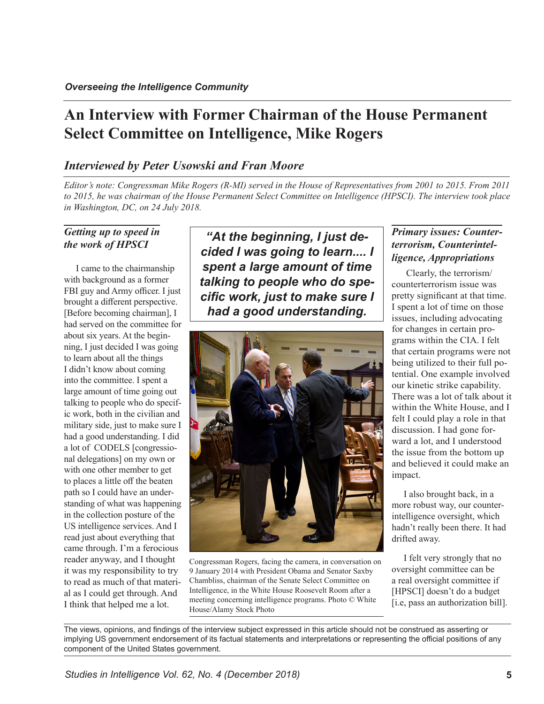# **An Interview with Former Chairman of the House Permanent Select Committee on Intelligence, Mike Rogers**

## *Interviewed by Peter Usowski and Fran Moore*

*Editor's note: Congressman Mike Rogers (R-MI) served in the House of Representatives from 2001 to 2015. From 2011 to 2015, he was chairman of the House Permanent Select Committee on Intelligence (HPSCI). The interview took place in Washington, DC, on 24 July 2018.*

#### *Getting up to speed in the work of HPSCI*

I came to the chairmanship with background as a former FBI guy and Army officer. I just brought a different perspective. [Before becoming chairman], I had served on the committee for about six years. At the beginning, I just decided I was going to learn about all the things I didn't know about coming into the committee. I spent a large amount of time going out talking to people who do specific work, both in the civilian and military side, just to make sure I had a good understanding. I did a lot of CODELS [congressional delegations] on my own or with one other member to get to places a little off the beaten path so I could have an understanding of what was happening in the collection posture of the US intelligence services. And I read just about everything that came through. I'm a ferocious reader anyway, and I thought it was my responsibility to try to read as much of that material as I could get through. And I think that helped me a lot.

*"At the beginning, I just decided I was going to learn.... I spent a large amount of time talking to people who do specific work, just to make sure I had a good understanding.*



Congressman Rogers, facing the camera, in conversation on 9 January 2014 with President Obama and Senator Saxby Chambliss, chairman of the Senate Select Committee on Intelligence, in the White House Roosevelt Room after a meeting concerning intelligence programs. Photo © White House/Alamy Stock Photo

## *Primary issues: Counterterrorism, Counterintelligence, Appropriations*

 Clearly, the terrorism/ counterterrorism issue was pretty significant at that time. I spent a lot of time on those issues, including advocating for changes in certain programs within the CIA. I felt that certain programs were not being utilized to their full potential. One example involved our kinetic strike capability. There was a lot of talk about it within the White House, and I felt I could play a role in that discussion. I had gone forward a lot, and I understood the issue from the bottom up and believed it could make an impact.

I also brought back, in a more robust way, our counterintelligence oversight, which hadn't really been there. It had drifted away.

I felt very strongly that no oversight committee can be a real oversight committee if [HPSCI] doesn't do a budget [i.e, pass an authorization bill].

The views, opinions, and findings of the interview subject expressed in this article should not be construed as asserting or implying US government endorsement of its factual statements and interpretations or representing the official positions of any component of the United States government.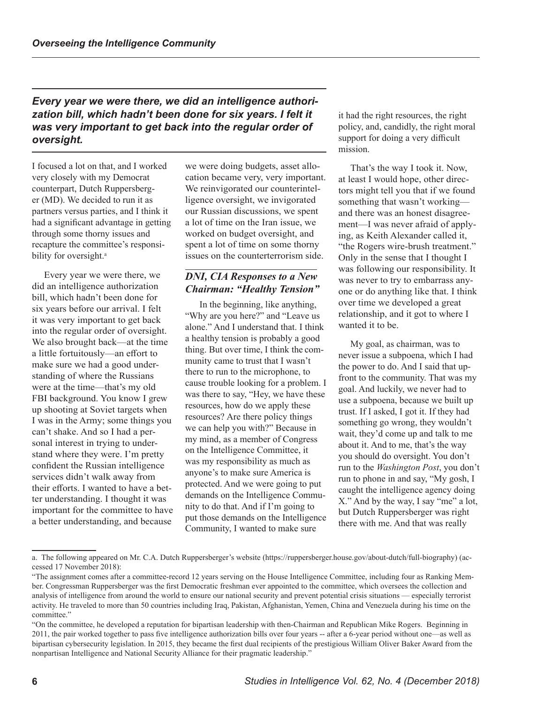*Every year we were there, we did an intelligence authori*zation bill, which hadn't been done for six years. I felt it *was very important to get back into the regular order of oversight.*

I focused a lot on that, and I worked very closely with my Democrat counterpart, Dutch Ruppersberger (MD). We decided to run it as partners versus parties, and I think it had a significant advantage in getting through some thorny issues and recapture the committee's responsibility for oversight.<sup>a</sup>

Every year we were there, we did an intelligence authorization bill, which hadn't been done for six years before our arrival. I felt it was very important to get back into the regular order of oversight. We also brought back—at the time a little fortuitously—an effort to make sure we had a good understanding of where the Russians were at the time—that's my old FBI background. You know I grew up shooting at Soviet targets when I was in the Army; some things you can't shake. And so I had a personal interest in trying to understand where they were. I'm pretty confident the Russian intelligence services didn't walk away from their efforts. I wanted to have a better understanding. I thought it was important for the committee to have a better understanding, and because

we were doing budgets, asset allocation became very, very important. We reinvigorated our counterintelligence oversight, we invigorated our Russian discussions, we spent a lot of time on the Iran issue, we worked on budget oversight, and spent a lot of time on some thorny issues on the counterterrorism side.

#### *DNI, CIA Responses to a New Chairman: "Healthy Tension"*

 In the beginning, like anything, "Why are you here?" and "Leave us alone." And I understand that. I think a healthy tension is probably a good thing. But over time, I think the community came to trust that I wasn't there to run to the microphone, to cause trouble looking for a problem. I was there to say, "Hey, we have these resources, how do we apply these resources? Are there policy things we can help you with?" Because in my mind, as a member of Congress on the Intelligence Committee, it was my responsibility as much as anyone's to make sure America is protected. And we were going to put demands on the Intelligence Community to do that. And if I'm going to put those demands on the Intelligence Community, I wanted to make sure

it had the right resources, the right policy, and, candidly, the right moral support for doing a very difficult mission.

That's the way I took it. Now, at least I would hope, other directors might tell you that if we found something that wasn't working and there was an honest disagreement—I was never afraid of applying, as Keith Alexander called it, "the Rogers wire-brush treatment." Only in the sense that I thought I was following our responsibility. It was never to try to embarrass anyone or do anything like that. I think over time we developed a great relationship, and it got to where I wanted it to be.

My goal, as chairman, was to never issue a subpoena, which I had the power to do. And I said that upfront to the community. That was my goal. And luckily, we never had to use a subpoena, because we built up trust. If I asked, I got it. If they had something go wrong, they wouldn't wait, they'd come up and talk to me about it. And to me, that's the way you should do oversight. You don't run to the *Washington Post*, you don't run to phone in and say, "My gosh, I caught the intelligence agency doing X." And by the way, I say "me" a lot, but Dutch Ruppersberger was right there with me. And that was really

a. The following appeared on Mr. C.A. Dutch Ruppersberger's website (https://ruppersberger.house.gov/about-dutch/full-biography) (accessed 17 November 2018):

<sup>&</sup>quot;The assignment comes after a committee-record 12 years serving on the House Intelligence Committee, including four as Ranking Member. Congressman Ruppersberger was the first Democratic freshman ever appointed to the committee, which oversees the collection and analysis of intelligence from around the world to ensure our national security and prevent potential crisis situations — especially terrorist activity. He traveled to more than 50 countries including Iraq, Pakistan, Afghanistan, Yemen, China and Venezuela during his time on the committee."

<sup>&</sup>quot;On the committee, he developed a reputation for bipartisan leadership with then-Chairman and Republican Mike Rogers. Beginning in 2011, the pair worked together to pass five intelligence authorization bills over four years -- after a 6-year period without one—as well as bipartisan cybersecurity legislation. In 2015, they became the first dual recipients of the prestigious William Oliver Baker Award from the nonpartisan Intelligence and National Security Alliance for their pragmatic leadership."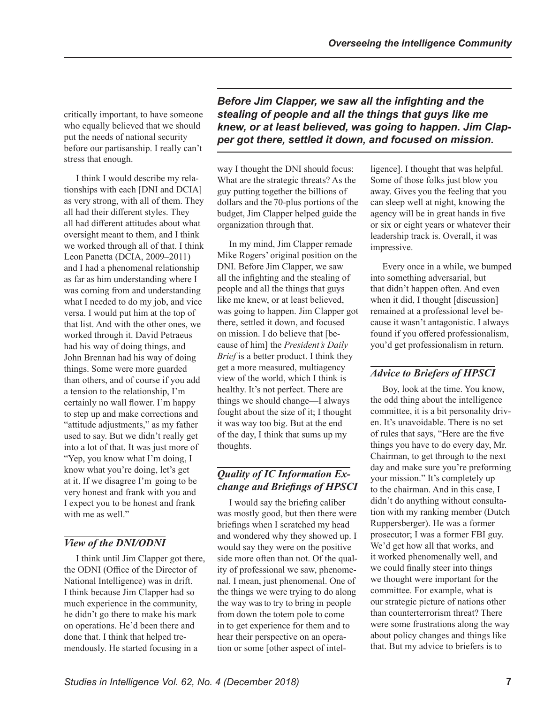critically important, to have someone who equally believed that we should put the needs of national security before our partisanship. I really can't stress that enough.

I think I would describe my relationships with each [DNI and DCIA] as very strong, with all of them. They all had their different styles. They all had different attitudes about what oversight meant to them, and I think we worked through all of that. I think Leon Panetta (DCIA, 2009–2011) and I had a phenomenal relationship as far as him understanding where I was corning from and understanding what I needed to do my job, and vice versa. I would put him at the top of that list. And with the other ones, we worked through it. David Petraeus had his way of doing things, and John Brennan had his way of doing things. Some were more guarded than others, and of course if you add a tension to the relationship, I'm certainly no wall flower. I'm happy to step up and make corrections and "attitude adjustments," as my father used to say. But we didn't really get into a lot of that. It was just more of "Yep, you know what I'm doing, I know what you're doing, let's get at it. If we disagree I'm going to be very honest and frank with you and I expect you to be honest and frank with me as well."

# *View of the DNI/ODNI*

I think until Jim Clapper got there, the ODNI (Office of the Director of National Intelligence) was in drift. I think because Jim Clapper had so much experience in the community, he didn't go there to make his mark on operations. He'd been there and done that. I think that helped tremendously. He started focusing in a

*Before Jim Clapper, we saw all the infighting and the stealing of people and all the things that guys like me knew, or at least believed, was going to happen. Jim Clapper got there, settled it down, and focused on mission.*

way I thought the DNI should focus: What are the strategic threats? As the guy putting together the billions of dollars and the 70-plus portions of the budget, Jim Clapper helped guide the organization through that.

In my mind, Jim Clapper remade Mike Rogers' original position on the DNI. Before Jim Clapper, we saw all the infighting and the stealing of people and all the things that guys like me knew, or at least believed, was going to happen. Jim Clapper got there, settled it down, and focused on mission. I do believe that [because of him] the *President's Daily Brief* is a better product. I think they get a more measured, multiagency view of the world, which I think is healthy. It's not perfect. There are things we should change—I always fought about the size of it; I thought it was way too big. But at the end of the day, I think that sums up my thoughts.

## *Quality of IC Information Exchange and Briefings of HPSCI*

I would say the briefing caliber was mostly good, but then there were briefings when I scratched my head and wondered why they showed up. I would say they were on the positive side more often than not. Of the quality of professional we saw, phenomenal. I mean, just phenomenal. One of the things we were trying to do along the way was to try to bring in people from down the totem pole to come in to get experience for them and to hear their perspective on an operation or some [other aspect of intelligence]. I thought that was helpful. Some of those folks just blow you away. Gives you the feeling that you can sleep well at night, knowing the agency will be in great hands in five or six or eight years or whatever their leadership track is. Overall, it was impressive.

Every once in a while, we bumped into something adversarial, but that didn't happen often. And even when it did, I thought [discussion] remained at a professional level because it wasn't antagonistic. I always found if you offered professionalism, you'd get professionalism in return.

# *Advice to Briefers of HPSCI*

Boy, look at the time. You know, the odd thing about the intelligence committee, it is a bit personality driven. It's unavoidable. There is no set of rules that says, "Here are the five things you have to do every day, Mr. Chairman, to get through to the next day and make sure you're preforming your mission." It's completely up to the chairman. And in this case, I didn't do anything without consultation with my ranking member (Dutch Ruppersberger). He was a former prosecutor; I was a former FBI guy. We'd get how all that works, and it worked phenomenally well, and we could finally steer into things we thought were important for the committee. For example, what is our strategic picture of nations other than counterterrorism threat? There were some frustrations along the way about policy changes and things like that. But my advice to briefers is to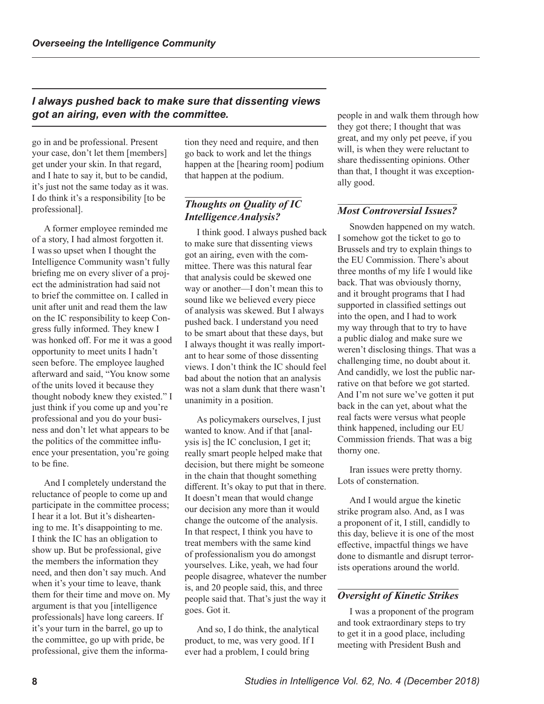#### *I always pushed back to make sure that dissenting views got an airing, even with the committee.*

go in and be professional. Present your case, don't let them [members] get under your skin. In that regard, and I hate to say it, but to be candid, it's just not the same today as it was. I do think it's a responsibility [to be professional].

A former employee reminded me of a story, I had almost forgotten it. I was so upset when I thought the Intelligence Community wasn't fully briefing me on every sliver of a project the administration had said not to brief the committee on. I called in unit after unit and read them the law on the IC responsibility to keep Congress fully informed. They knew I was honked off. For me it was a good opportunity to meet units I hadn't seen before. The employee laughed afterward and said, "You know some of the units loved it because they thought nobody knew they existed." I just think if you come up and you're professional and you do your business and don't let what appears to be the politics of the committee influence your presentation, you're going to be fine.

And I completely understand the reluctance of people to come up and participate in the committee process; I hear it a lot. But it's disheartening to me. It's disappointing to me. I think the IC has an obligation to show up. But be professional, give the members the information they need, and then don't say much. And when it's your time to leave, thank them for their time and move on. My argument is that you [intelligence professionals] have long careers. If it's your turn in the barrel, go up to the committee, go up with pride, be professional, give them the information they need and require, and then go back to work and let the things happen at the [hearing room] podium that happen at the podium.

#### *Thoughts on Quality of IC Intelligence Analysis?*

I think good. I always pushed back to make sure that dissenting views got an airing, even with the committee. There was this natural fear that analysis could be skewed one way or another—I don't mean this to sound like we believed every piece of analysis was skewed. But I always pushed back. I understand you need to be smart about that these days, but I always thought it was really important to hear some of those dissenting views. I don't think the IC should feel bad about the notion that an analysis was not a slam dunk that there wasn't unanimity in a position.

As policymakers ourselves, I just wanted to know. And if that [analysis is] the IC conclusion, I get it; really smart people helped make that decision, but there might be someone in the chain that thought something different. It's okay to put that in there. It doesn't mean that would change our decision any more than it would change the outcome of the analysis. In that respect, I think you have to treat members with the same kind of professionalism you do amongst yourselves. Like, yeah, we had four people disagree, whatever the number is, and 20 people said, this, and three people said that. That's just the way it goes. Got it.

And so, I do think, the analytical product, to me, was very good. If I ever had a problem, I could bring

people in and walk them through how they got there; I thought that was great, and my only pet peeve, if you will, is when they were reluctant to share the dissenting opinions. Other than that, I thought it was exceptionally good.

#### *Most Controversial Issues?*

Snowden happened on my watch. I somehow got the ticket to go to Brussels and try to explain things to the EU Commission. There's about three months of my life I would like back. That was obviously thorny, and it brought programs that I had supported in classified settings out into the open, and I had to work my way through that to try to have a public dialog and make sure we weren't disclosing things. That was a challenging time, no doubt about it. And candidly, we lost the public narrative on that before we got started. And I'm not sure we've gotten it put back in the can yet, about what the real facts were versus what people think happened, including our EU Commission friends. That was a big thorny one.

Iran issues were pretty thorny. Lots of consternation.

And I would argue the kinetic strike program also. And, as I was a proponent of it, I still, candidly to this day, believe it is one of the most effective, impactful things we have done to dismantle and disrupt terrorists operations around the world.

#### *Oversight of Kinetic Strikes*

I was a proponent of the program and took extraordinary steps to try to get it in a good place, including meeting with President Bush and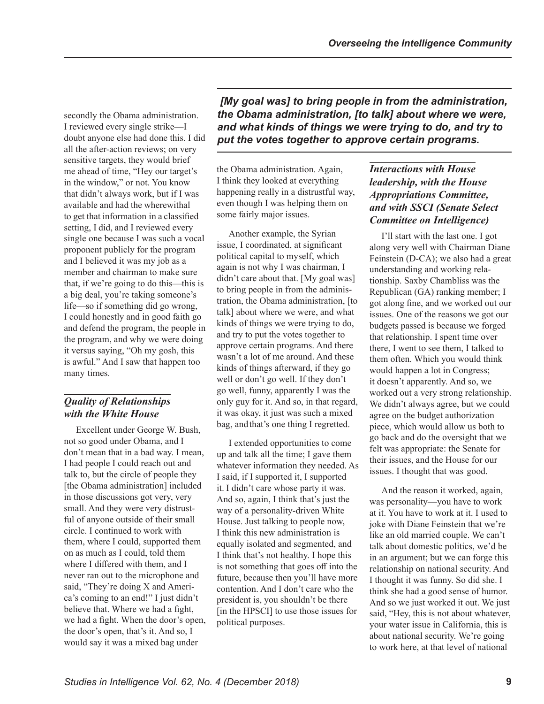secondly the Obama administration. I reviewed every single strike—I doubt anyone else had done this. I did all the after-action reviews; on very sensitive targets, they would brief me ahead of time, "Hey our target's in the window," or not. You know that didn't always work, but if I was available and had the wherewithal to get that information in a classified setting, I did, and I reviewed every single one because I was such a vocal proponent publicly for the program and I believed it was my job as a member and chairman to make sure that, if we're going to do this—this is a big deal, you're taking someone's life—so if something did go wrong, I could honestly and in good faith go and defend the program, the people in the program, and why we were doing it versus saying, "Oh my gosh, this is awful." And I saw that happen too many times.

# *Quality of Relationships with the White House*

Excellent under George W. Bush, not so good under Obama, and I don't mean that in a bad way. I mean, I had people I could reach out and talk to, but the circle of people they [the Obama administration] included in those discussions got very, very small. And they were very distrustful of anyone outside of their small circle. I continued to work with them, where I could, supported them on as much as I could, told them where I differed with them, and I never ran out to the microphone and said, "They're doing X and America's coming to an end!" I just didn't believe that. Where we had a fight, we had a fight. When the door's open, the door's open, that's it. And so, I would say it was a mixed bag under

 *[My goal was] to bring people in from the administration, the Obama administration, [to talk] about where we were, and what kinds of things we were trying to do, and try to put the votes together to approve certain programs.*

the Obama administration. Again, I think they looked at everything happening really in a distrustful way, even though I was helping them on some fairly major issues.

Another example, the Syrian issue, I coordinated, at significant political capital to myself, which again is not why I was chairman, I didn't care about that. [My goal was] to bring people in from the administration, the Obama administration, [to talk] about where we were, and what kinds of things we were trying to do, and try to put the votes together to approve certain programs. And there wasn't a lot of me around. And these kinds of things afterward, if they go well or don't go well. If they don't go well, funny, apparently I was the only guy for it. And so, in that regard, it was okay, it just was such a mixed bag, and that's one thing I regretted.

I extended opportunities to come up and talk all the time; I gave them whatever information they needed. As I said, if I supported it, I supported it. I didn't care whose party it was. And so, again, I think that's just the way of a personality-driven White House. Just talking to people now, I think this new administration is equally isolated and segmented, and I think that's not healthy. I hope this is not something that goes off into the future, because then you'll have more contention. And I don't care who the president is, you shouldn't be there [in the HPSCI] to use those issues for political purposes.

## *Interactions with House leadership, with the House Appropriations Committee, and with SSCI (Senate Select Committee on Intelligence)*

I'll start with the last one. I got along very well with Chairman Diane Feinstein (D-CA); we also had a great understanding and working relationship. Saxby Chambliss was the Republican (GA) ranking member; I got along fine, and we worked out our issues. One of the reasons we got our budgets passed is because we forged that relationship. I spent time over there, I went to see them, I talked to them often. Which you would think would happen a lot in Congress; it doesn't apparently. And so, we worked out a very strong relationship. We didn't always agree, but we could agree on the budget authorization piece, which would allow us both to go back and do the oversight that we felt was appropriate: the Senate for their issues, and the House for our issues. I thought that was good.

And the reason it worked, again, was personality—you have to work at it. You have to work at it. I used to joke with Diane Feinstein that we're like an old married couple. We can't talk about domestic politics, we'd be in an argument; but we can forge this relationship on national security. And I thought it was funny. So did she. I think she had a good sense of humor. And so we just worked it out. We just said, "Hey, this is not about whatever, your water issue in California, this is about national security. We're going to work here, at that level of national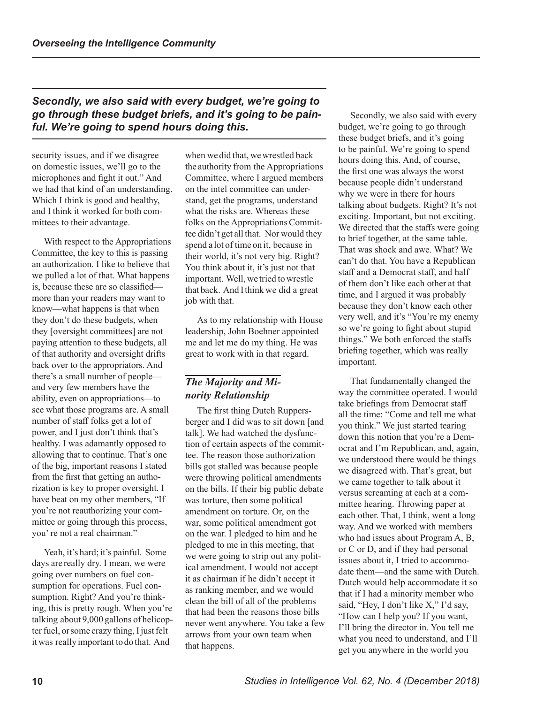## *Secondly, we also said with every budget, we're going to go through these budget briefs, and it's going to be painful. We're going to spend hours doing this.*

security issues, and if we disagree on domestic issues, we'll go to the microphones and fight it out." And we had that kind of an understanding. Which I think is good and healthy, and I think it worked for both committees to their advantage.

With respect to the Appropriations Committee, the key to this is passing an authorization. I like to believe that we pulled a lot of that. What happens is, because these are so classified more than your readers may want to know—what happens is that when they don't do these budgets, when they [oversight committees] are not paying attention to these budgets, all of that authority and oversight drifts back over to the appropriators. And there's a small number of people and very few members have the ability, even on appropriations—to see what those programs are. A small number of staff folks get a lot of power, and I just don't think that's healthy. I was adamantly opposed to allowing that to continue. That's one of the big, important reasons I stated from the first that getting an authorization is key to proper oversight. I have beat on my other members, "If you're not reauthorizing your committee or going through this process, you' re not a real chairman."

Yeah, it's hard; it's painful. Some days are really dry. I mean, we were going over numbers on fuel consumption for operations. Fuel consumption. Right? And you're thinking, this is pretty rough. When you're talking about 9,000 gallons of helicopter fuel, or some crazy thing, I just felt it was really important to do that. And

when we did that, we wrestled back the authority from the Appropriations Committee, where I argued members on the intel committee can understand, get the programs, understand what the risks are. Whereas these folks on the Appropriations Committee didn't get all that. Nor would they spend a lot of time on it, because in their world, it's not very big. Right? You think about it, it's just not that important. Well, we tried to wrestle that back. And I think we did a great job with that.

As to my relationship with House leadership, John Boehner appointed me and let me do my thing. He was great to work with in that regard.

## *The Majority and Minority Relationship*

The first thing Dutch Ruppersberger and I did was to sit down [and talk]. We had watched the dysfunction of certain aspects of the committee. The reason those authorization bills got stalled was because people were throwing political amendments on the bills. If their big public debate was torture, then some political amendment on torture. Or, on the war, some political amendment got on the war. I pledged to him and he pledged to me in this meeting, that we were going to strip out any political amendment. I would not accept it as chairman if he didn't accept it as ranking member, and we would clean the bill of all of the problems that had been the reasons those bills never went anywhere. You take a few arrows from your own team when that happens.

Secondly, we also said with every budget, we're going to go through these budget briefs, and it's going to be painful. We're going to spend hours doing this. And, of course, the first one was always the worst because people didn't understand why we were in there for hours talking about budgets. Right? It's not exciting. Important, but not exciting. We directed that the staffs were going to brief together, at the same table. That was shock and awe. What? We can't do that. You have a Republican staff and a Democrat staff, and half of them don't like each other at that time, and I argued it was probably because they don't know each other very well, and it's "You're my enemy so we're going to fight about stupid things." We both enforced the staffs briefing together, which was really important.

That fundamentally changed the way the committee operated. I would take briefings from Democrat staff all the time: "Come and tell me what you think." We just started tearing down this notion that you're a Democrat and I'm Republican, and, again, we understood there would be things we disagreed with. That's great, but we came together to talk about it versus screaming at each at a committee hearing. Throwing paper at each other. That, I think, went a long way. And we worked with members who had issues about Program A, B, or C or D, and if they had personal issues about it, I tried to accommodate them—and the same with Dutch. Dutch would help accommodate it so that if I had a minority member who said, "Hey, I don't like X," I'd say, "How can I help you? If you want, I'll bring the director in. You tell me what you need to understand, and I'll get you anywhere in the world you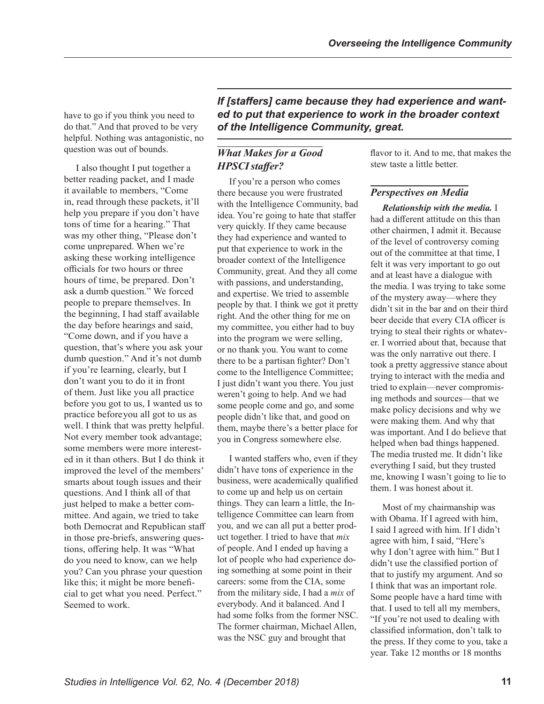have to go if you think you need to do that." And that proved to be very helpful. Nothing was antagonistic, no question was out of bounds.

I also thought I put together a better reading packet, and I made it available to members, "Come in, read through these packets, it'll help you prepare if you don't have tons of time for a hearing." That was my other thing, "Please don't come unprepared. When we're asking these working intelligence officials for two hours or three hours of time, be prepared. Don't ask a dumb question." We forced people to prepare themselves. In the beginning, I had staff available the day before hearings and said, "Come down, and if you have a question, that's where you ask your dumb question." And it's not dumb if you're learning, clearly, but I don't want you to do it in front of them. Just like you all practice before you got to us, I wanted us to practice before you all got to us as well. I think that was pretty helpful. Not every member took advantage; some members were more interested in it than others. But I do think it improved the level of the members' smarts about tough issues and their questions. And I think all of that just helped to make a better committee. And again, we tried to take both Democrat and Republican staff in those pre-briefs, answering questions, offering help. It was "What do you need to know, can we help you? Can you phrase your question like this; it might be more beneficial to get what you need. Perfect." Seemed to work.

*If [staffers] came because they had experience and wanted to put that experience to work in the broader context of the Intelligence Community, great.* 

## *What Makes for a Good HPSCI staffer?*

If you're a person who comes there because you were frustrated with the Intelligence Community, bad idea. You're going to hate that staffer very quickly. If they came because they had experience and wanted to put that experience to work in the broader context of the Intelligence Community, great. And they all come with passions, and understanding, and expertise. We tried to assemble people by that. I think we got it pretty right. And the other thing for me on my committee, you either had to buy into the program we were selling, or no thank you. You want to come there to be a partisan fighter? Don't come to the Intelligence Committee; I just didn't want you there. You just weren't going to help. And we had some people come and go, and some people didn't like that, and good on them, maybe there's a better place for you in Congress somewhere else.

I wanted staffers who, even if they didn't have tons of experience in the business, were academically qualified to come up and help us on certain things. They can learn a little, the Intelligence Committee can learn from you, and we can all put a better product together. I tried to have that *mix*  of people. And I ended up having a lot of people who had experience doing something at some point in their careers: some from the CIA, some from the military side, I had a *mix* of everybody. And it balanced. And I had some folks from the former NSC. The former chairman, Michael Allen, was the NSC guy and brought that

flavor to it. And to me, that makes the stew taste a little better.

#### *Perspectives on Media*

*Relationship with the media.* I had a different attitude on this than other chairmen, I admit it. Because of the level of controversy coming out of the committee at that time, I felt it was very important to go out and at least have a dialogue with the media. I was trying to take some of the mystery away—where they didn't sit in the bar and on their third beer decide that every CIA officer is trying to steal their rights or whatever. I worried about that, because that was the only narrative out there. I took a pretty aggressive stance about trying to interact with the media and tried to explain—never compromising methods and sources—that we make policy decisions and why we were making them. And why that was important. And I do believe that helped when bad things happened. The media trusted me. It didn't like everything I said, but they trusted me, knowing I wasn't going to lie to them. I was honest about it.

Most of my chairmanship was with Obama. If I agreed with him, I said I agreed with him. If I didn't agree with him, I said, "Here's why I don't agree with him." But I didn't use the classified portion of that to justify my argument. And so I think that was an important role. Some people have a hard time with that. I used to tell all my members, "If you're not used to dealing with classified information, don't talk to the press. If they come to you, take a year. Take 12 months or 18 months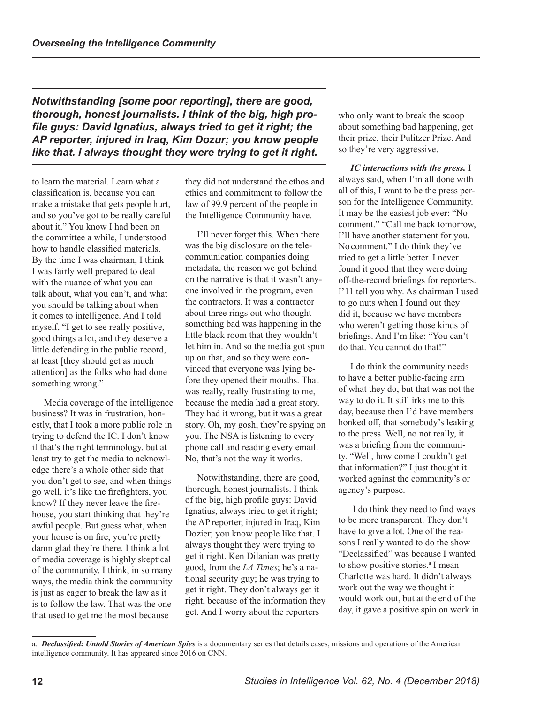*Notwithstanding [some poor reporting], there are good, thorough, honest journalists. I think of the big, high profile guys: David Ignatius, always tried to get it right; the AP reporter, injured in Iraq, Kim Dozur; you know people like that. I always thought they were trying to get it right.* 

to learn the material. Learn what a classification is, because you can make a mistake that gets people hurt, and so you've got to be really careful about it." You know I had been on the committee a while, I understood how to handle classified materials. By the time I was chairman, I think I was fairly well prepared to deal with the nuance of what you can talk about, what you can't, and what you should be talking about when it comes to intelligence. And I told myself, "I get to see really positive, good things a lot, and they deserve a little defending in the public record, at least [they should get as much attention] as the folks who had done something wrong."

Media coverage of the intelligence business? It was in frustration, honestly, that I took a more public role in trying to defend the IC. I don't know if that's the right terminology, but at least try to get the media to acknowledge there's a whole other side that you don't get to see, and when things go well, it's like the firefighters, you know? If they never leave the firehouse, you start thinking that they're awful people. But guess what, when your house is on fire, you're pretty damn glad they're there. I think a lot of media coverage is highly skeptical of the community. I think, in so many ways, the media think the community is just as eager to break the law as it is to follow the law. That was the one that used to get me the most because

they did not understand the ethos and ethics and commitment to follow the law of 99.9 percent of the people in the Intelligence Community have.

I'll never forget this. When there was the big disclosure on the telecommunication companies doing metadata, the reason we got behind on the narrative is that it wasn't anyone involved in the program, even the contractors. It was a contractor about three rings out who thought something bad was happening in the little black room that they wouldn't let him in. And so the media got spun up on that, and so they were convinced that everyone was lying before they opened their mouths. That was really, really frustrating to me, because the media had a great story. They had it wrong, but it was a great story. Oh, my gosh, they're spying on you. The NSA is listening to every phone call and reading every email. No, that's not the way it works.

Notwithstanding, there are good, thorough, honest journalists. I think of the big, high profile guys: David Ignatius, always tried to get it right; the AP reporter, injured in Iraq, Kim Dozier; you know people like that. I always thought they were trying to get it right. Ken Dilanian was pretty good, from the *LA Times*; he's a national security guy; he was trying to get it right. They don't always get it right, because of the information they get. And I worry about the reporters

who only want to break the scoop about something bad happening, get their prize, their Pulitzer Prize. And so they're very aggressive.

*IC interactions with the press.* I always said, when I'm all done with all of this, I want to be the press person for the Intelligence Community. It may be the easiest job ever: "No comment." "Call me back tomorrow, I'll have another statement for you. No comment." I do think they've tried to get a little better. I never found it good that they were doing off-the-record briefings for reporters. I'11 tell you why. As chairman I used to go nuts when I found out they did it, because we have members who weren't getting those kinds of briefings. And I'm like: "You can't do that. You cannot do that!"

I do think the community needs to have a better public-facing arm of what they do, but that was not the way to do it. It still irks me to this day, because then I'd have members honked off, that somebody's leaking to the press. Well, no not really, it was a briefing from the community. "Well, how come I couldn't get that information?" I just thought it worked against the community's or agency's purpose.

 I do think they need to find ways to be more transparent. They don't have to give a lot. One of the reasons I really wanted to do the show "Declassified" was because I wanted to show positive stories.<sup>a</sup> I mean Charlotte was hard. It didn't always work out the way we thought it would work out, but at the end of the day, it gave a positive spin on work in

a. *Declassified: Untold Stories of American Spies* is a documentary series that details cases, missions and operations of the American intelligence community. It has appeared since 2016 on CNN.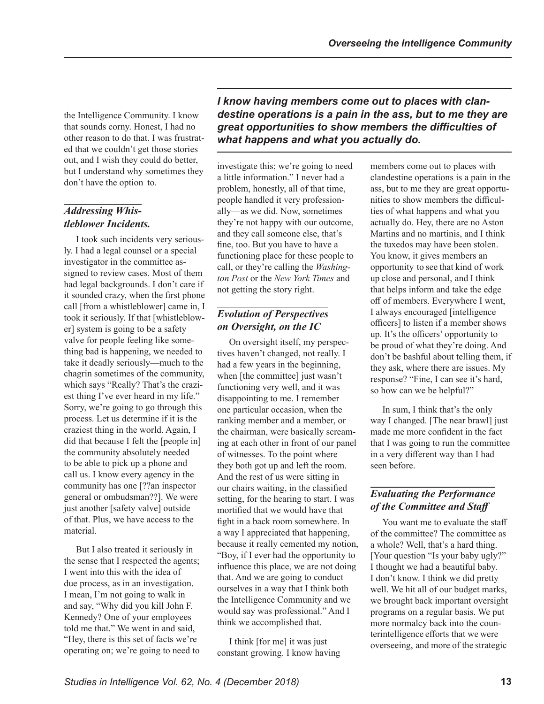the Intelligence Community. I know that sounds corny. Honest, I had no other reason to do that. I was frustrated that we couldn't get those stories out, and I wish they could do better, but I understand why sometimes they don't have the option to.

# *Addressing Whistleblower Incidents.*

I took such incidents very seriously. I had a legal counsel or a special investigator in the committee assigned to review cases. Most of them had legal backgrounds. I don't care if it sounded crazy, when the first phone call [from a whistleblower] came in, I took it seriously. If that [whistleblower] system is going to be a safety valve for people feeling like something bad is happening, we needed to take it deadly seriously—much to the chagrin sometimes of the community, which says "Really? That's the craziest thing I've ever heard in my life." Sorry, we're going to go through this process. Let us determine if it is the craziest thing in the world. Again, I did that because I felt the [people in] the community absolutely needed to be able to pick up a phone and call us. I know every agency in the community has one [??an inspector general or ombudsman??]. We were just another [safety valve] outside of that. Plus, we have access to the material.

But I also treated it seriously in the sense that I respected the agents; I went into this with the idea of due process, as in an investigation. I mean, I'm not going to walk in and say, "Why did you kill John F. Kennedy? One of your employees told me that." We went in and said, "Hey, there is this set of facts we're operating on; we're going to need to *I know having members come out to places with clandestine operations is a pain in the ass, but to me they are great opportunities to show members the difficulties of what happens and what you actually do.*

investigate this; we're going to need a little information." I never had a problem, honestly, all of that time, people handled it very professionally—as we did. Now, sometimes they're not happy with our outcome, and they call someone else, that's fine, too. But you have to have a functioning place for these people to call, or they're calling the *Washington Post* or the *New York Times* and not getting the story right.

# *Evolution of Perspectives on Oversight, on the IC*

On oversight itself, my perspectives haven't changed, not really. I had a few years in the beginning, when [the committee] just wasn't functioning very well, and it was disappointing to me. I remember one particular occasion, when the ranking member and a member, or the chairman, were basically screaming at each other in front of our panel of witnesses. To the point where they both got up and left the room. And the rest of us were sitting in our chairs waiting, in the classified setting, for the hearing to start. I was mortified that we would have that fight in a back room somewhere. In a way I appreciated that happening, because it really cemented my notion, "Boy, if I ever had the opportunity to influence this place, we are not doing that. And we are going to conduct ourselves in a way that I think both the Intelligence Community and we would say was professional." And I think we accomplished that.

I think [for me] it was just constant growing. I know having members come out to places with clandestine operations is a pain in the ass, but to me they are great opportunities to show members the difficulties of what happens and what you actually do. Hey, there are no Aston Martins and no martinis, and I think the tuxedos may have been stolen. You know, it gives members an opportunity to see that kind of work up close and personal, and I think that helps inform and take the edge off of members. Everywhere I went, I always encouraged [intelligence officers] to listen if a member shows up. It's the officers' opportunity to be proud of what they're doing. And don't be bashful about telling them, if they ask, where there are issues. My response? "Fine, I can see it's hard, so how can we be helpful?"

In sum, I think that's the only way I changed. [The near brawl] just made me more confident in the fact that I was going to run the committee in a very different way than I had seen before.

#### *Evaluating the Performance of the Committee and Staff*

You want me to evaluate the staff of the committee? The committee as a whole? Well, that's a hard thing. [Your question "Is your baby ugly?" I thought we had a beautiful baby. I don't know. I think we did pretty well. We hit all of our budget marks, we brought back important oversight programs on a regular basis. We put more normalcy back into the counterintelligence efforts that we were overseeing, and more of the strategic